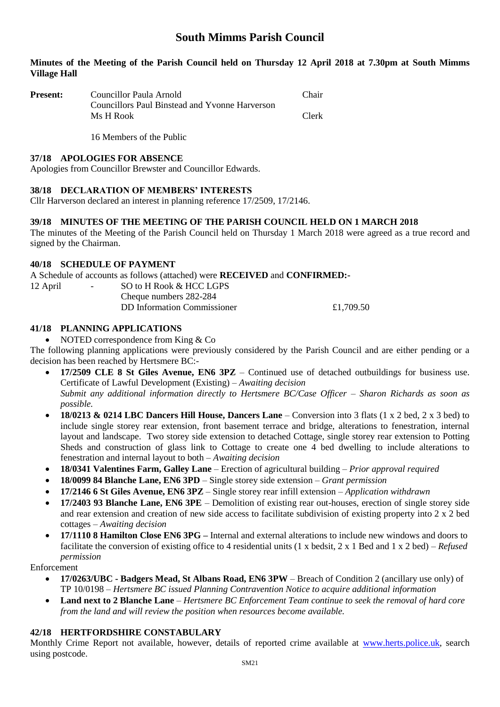# **South Mimms Parish Council**

# **Minutes of the Meeting of the Parish Council held on Thursday 12 April 2018 at 7.30pm at South Mimms Village Hall**

| <b>Present:</b> | Councillor Paula Arnold                        | <b>Chair</b> |
|-----------------|------------------------------------------------|--------------|
|                 | Councillors Paul Binstead and Yvonne Harverson |              |
|                 | Ms H Rook                                      | Clerk        |

16 Members of the Public

#### **37/18 APOLOGIES FOR ABSENCE**

Apologies from Councillor Brewster and Councillor Edwards.

# **38/18 DECLARATION OF MEMBERS' INTERESTS**

Cllr Harverson declared an interest in planning reference 17/2509, 17/2146.

# **39/18 MINUTES OF THE MEETING OF THE PARISH COUNCIL HELD ON 1 MARCH 2018**

The minutes of the Meeting of the Parish Council held on Thursday 1 March 2018 were agreed as a true record and signed by the Chairman.

# **40/18 SCHEDULE OF PAYMENT**

A Schedule of accounts as follows (attached) were **RECEIVED** and **CONFIRMED:-**

| 12 April | $ -$ | SO to H Rook & HCC LGPS            |           |
|----------|------|------------------------------------|-----------|
|          |      | Cheque numbers 282-284             |           |
|          |      | <b>DD</b> Information Commissioner | £1,709.50 |
|          |      |                                    |           |

# **41/18 PLANNING APPLICATIONS**

• NOTED correspondence from King & Co

The following planning applications were previously considered by the Parish Council and are either pending or a decision has been reached by Hertsmere BC:-

- **17/2509 CLE 8 St Giles Avenue, EN6 3PZ** Continued use of detached outbuildings for business use. Certificate of Lawful Development (Existing) – *Awaiting decision Submit any additional information directly to Hertsmere BC/Case Officer – Sharon Richards as soon as possible.*
- **18/0213 & 0214 LBC Dancers Hill House, Dancers Lane** Conversion into 3 flats (1 x 2 bed, 2 x 3 bed) to include single storey rear extension, front basement terrace and bridge, alterations to fenestration, internal layout and landscape. Two storey side extension to detached Cottage, single storey rear extension to Potting Sheds and construction of glass link to Cottage to create one 4 bed dwelling to include alterations to fenestration and internal layout to both – *Awaiting decision*
- **18/0341 Valentines Farm, Galley Lane** Erection of agricultural building *Prior approval required*
- **18/0099 84 Blanche Lane, EN6 3PD** Single storey side extension *Grant permission*
- **17/2146 6 St Giles Avenue, EN6 3PZ** Single storey rear infill extension *Application withdrawn*
- **17/2403 93 Blanche Lane, EN6 3PE** Demolition of existing rear out-houses, erection of single storey side and rear extension and creation of new side access to facilitate subdivision of existing property into 2 x 2 bed cottages – *Awaiting decision*
- **17/1110 8 Hamilton Close EN6 3PG –** Internal and external alterations to include new windows and doors to facilitate the conversion of existing office to 4 residential units (1 x bedsit, 2 x 1 Bed and 1 x 2 bed) – *Refused permission*

Enforcement

- **17/0263/UBC - Badgers Mead, St Albans Road, EN6 3PW** Breach of Condition 2 (ancillary use only) of TP 10/0198 – *Hertsmere BC issued Planning Contravention Notice to acquire additional information*
- **Land next to 2 Blanche Lane** *Hertsmere BC Enforcement Team continue to seek the removal of hard core from the land and will review the position when resources become available.*

# **42/18 HERTFORDSHIRE CONSTABULARY**

Monthly Crime Report not available, however, details of reported crime available at [www.herts.police.uk,](http://www.herts.police.uk/) search using postcode.